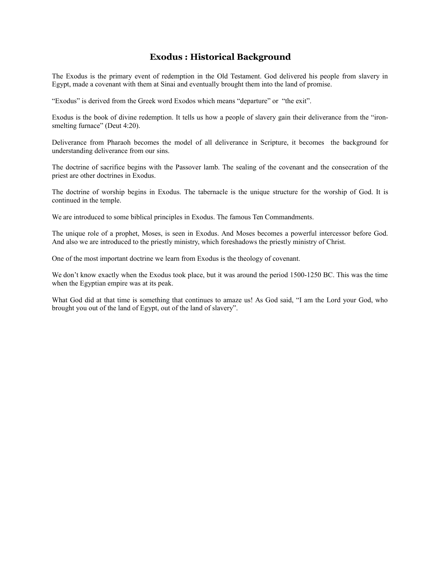## **Exodus : Historical Background**

The Exodus is the primary event of redemption in the Old Testament. God delivered his people from slavery in Egypt, made a covenant with them at Sinai and eventually brought them into the land of promise.

"Exodus" is derived from the Greek word Exodos which means "departure" or "the exit".

Exodus is the book of divine redemption. It tells us how a people of slavery gain their deliverance from the "ironsmelting furnace" (Deut 4:20).

Deliverance from Pharaoh becomes the model of all deliverance in Scripture, it becomes the background for understanding deliverance from our sins.

The doctrine of sacrifice begins with the Passover lamb. The sealing of the covenant and the consecration of the priest are other doctrines in Exodus.

The doctrine of worship begins in Exodus. The tabernacle is the unique structure for the worship of God. It is continued in the temple.

We are introduced to some biblical principles in Exodus. The famous Ten Commandments.

The unique role of a prophet, Moses, is seen in Exodus. And Moses becomes a powerful intercessor before God. And also we are introduced to the priestly ministry, which foreshadows the priestly ministry of Christ.

One of the most important doctrine we learn from Exodus is the theology of covenant.

We don't know exactly when the Exodus took place, but it was around the period 1500-1250 BC. This was the time when the Egyptian empire was at its peak.

What God did at that time is something that continues to amaze us! As God said, "I am the Lord your God, who brought you out of the land of Egypt, out of the land of slavery".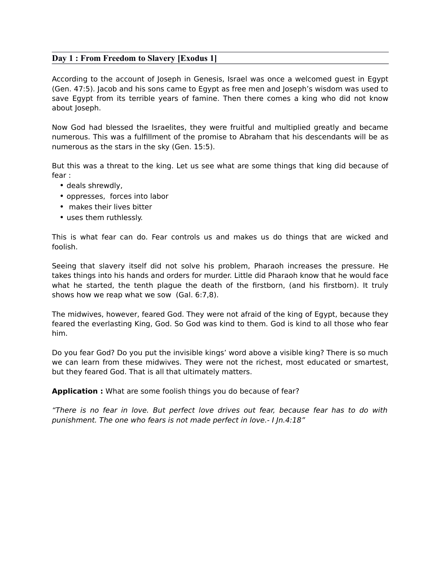### **Day 1 : From Freedom to Slavery [Exodus 1]**

According to the account of Joseph in Genesis, Israel was once a welcomed guest in Egypt (Gen. 47:5). Jacob and his sons came to Egypt as free men and Joseph's wisdom was used to save Egypt from its terrible years of famine. Then there comes a king who did not know about Joseph.

Now God had blessed the Israelites, they were fruitful and multiplied greatly and became numerous. This was a fulfillment of the promise to Abraham that his descendants will be as numerous as the stars in the sky (Gen. 15:5).

But this was a threat to the king. Let us see what are some things that king did because of fear :

- deals shrewdly,
- oppresses, forces into labor
- makes their lives bitter
- uses them ruthlessly.

This is what fear can do. Fear controls us and makes us do things that are wicked and foolish.

Seeing that slavery itself did not solve his problem, Pharaoh increases the pressure. He takes things into his hands and orders for murder. Little did Pharaoh know that he would face what he started, the tenth plague the death of the firstborn, (and his firstborn). It truly shows how we reap what we sow (Gal. 6:7,8).

The midwives, however, feared God. They were not afraid of the king of Egypt, because they feared the everlasting King, God. So God was kind to them. God is kind to all those who fear him.

Do you fear God? Do you put the invisible kings' word above a visible king? There is so much we can learn from these midwives. They were not the richest, most educated or smartest, but they feared God. That is all that ultimately matters.

**Application :** What are some foolish things you do because of fear?

"There is no fear in love. But perfect love drives out fear, because fear has to do with punishment. The one who fears is not made perfect in love.- I Jn.4:18"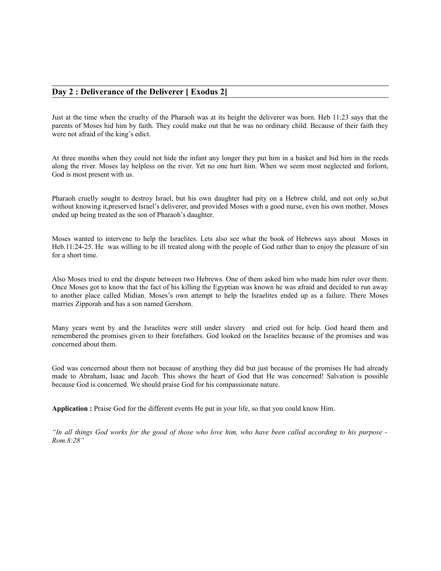#### **Day 2 : Deliverance of the Deliverer [ Exodus 2]**

Just at the time when the cruelty of the Pharaoh was at its height the deliverer was born. Heb 11:23 says that the parents of Moses hid him by faith. They could make out that he was no ordinary child. Because of their faith they were not afraid of the king's edict.

At three months when they could not hide the infant any longer they put him in a basket and hid him in the reeds along the river. Moses lay helpless on the river. Yet no one hurt him. When we seem most neglected and forlorn, God is most present with us.

Pharaoh cruelly sought to destroy Israel, but his own daughter had pity on a Hebrew child, and not only so,but without knowing it,preserved Israel's deliverer, and provided Moses with a good nurse, even his own mother. Moses ended up being treated as the son of Pharaoh's daughter.

Moses wanted to intervene to help the Israelites. Lets also see what the book of Hebrews says about Moses in Heb.11:24-25. He was willing to be ill treated along with the people of God rather than to enjoy the pleasure of sin for a short time.

Also Moses tried to end the dispute between two Hebrews. One of them asked him who made him ruler over them. Once Moses got to know that the fact of his killing the Egyptian was known he was afraid and decided to run away to another place called Midian. Moses's own attempt to help the Israelites ended up as a failure. There Moses marries Zipporah and has a son named Gershom.

Many years went by and the Israelites were still under slavery and cried out for help. God heard them and remembered the promises given to their forefathers. God looked on the Israelites because of the promises and was concerned about them.

God was concerned about them not because of anything they did but just because of the promises He had already made to Abraham, Isaac and Jacob. This shows the heart of God that He was concerned! Salvation is possible because God is concerned. We should praise God for his compassionate nature.

**Application :** Praise God for the different events He put in your life, so that you could know Him.

*"In all things God works for the good of those who love him, who have been called according to his purpose - Rom.8:28"*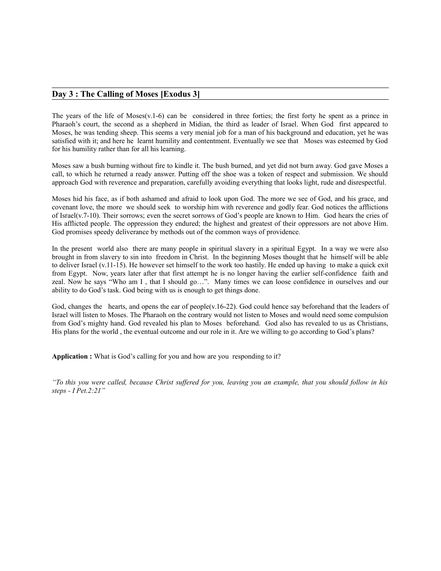### **Day 3 : The Calling of Moses [Exodus 3]**

The years of the life of Moses(v.1-6) can be considered in three forties; the first forty he spent as a prince in Pharaoh's court, the second as a shepherd in Midian, the third as leader of Israel. When God first appeared to Moses, he was tending sheep. This seems a very menial job for a man of his background and education, yet he was satisfied with it; and here he learnt humility and contentment. Eventually we see that Moses was esteemed by God for his humility rather than for all his learning.

Moses saw a bush burning without fire to kindle it. The bush burned, and yet did not burn away. God gave Moses a call, to which he returned a ready answer. Putting off the shoe was a token of respect and submission. We should approach God with reverence and preparation, carefully avoiding everything that looks light, rude and disrespectful.

Moses hid his face, as if both ashamed and afraid to look upon God. The more we see of God, and his grace, and covenant love, the more we should seek to worship him with reverence and godly fear. God notices the afflictions of Israel(v.7-10). Their sorrows; even the secret sorrows of God's people are known to Him. God hears the cries of His afflicted people. The oppression they endured; the highest and greatest of their oppressors are not above Him. God promises speedy deliverance by methods out of the common ways of providence.

In the present world also there are many people in spiritual slavery in a spiritual Egypt. In a way we were also brought in from slavery to sin into freedom in Christ. In the beginning Moses thought that he himself will be able to deliver Israel (v.11-15). He however set himself to the work too hastily. He ended up having to make a quick exit from Egypt. Now, years later after that first attempt he is no longer having the earlier self-confidence faith and zeal. Now he says "Who am I, that I should go...". Many times we can loose confidence in ourselves and our ability to do God's task. God being with us is enough to get things done.

God, changes the hearts, and opens the ear of people(v.16-22). God could hence say beforehand that the leaders of Israel will listen to Moses. The Pharaoh on the contrary would not listen to Moses and would need some compulsion from God's mighty hand. God revealed his plan to Moses beforehand. God also has revealed to us as Christians, His plans for the world , the eventual outcome and our role in it. Are we willing to go according to God's plans?

**Application :** What is God's calling for you and how are you responding to it?

*"To this you were called, because Christ suffered for you, leaving you an example, that you should follow in his steps - I Pet.2:21"*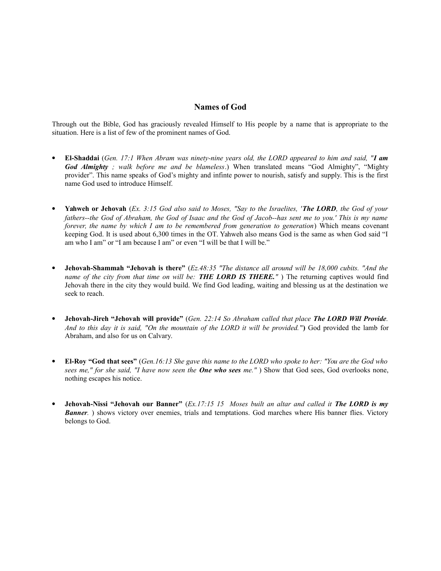### **Names of God**

Through out the Bible, God has graciously revealed Himself to His people by a name that is appropriate to the situation. Here is a list of few of the prominent names of God.

- **El-Shaddai** (*Gen. 17:1 When Abram was ninety-nine years old, the LORD appeared to him and said, "I am God Almighty ; walk before me and be blameless*.) When translated means "God Almighty", "Mighty provider". This name speaks of God's mighty and infinte power to nourish, satisfy and supply. This is the first name God used to introduce Himself.
- **Yahweh or Jehovah** (*Ex. 3:15 God also said to Moses, "Say to the Israelites, 'The LORD, the God of your fathers--the God of Abraham, the God of Isaac and the God of Jacob--has sent me to you.' This is my name forever, the name by which I am to be remembered from generation to generation*) Which means covenant keeping God. It is used about 6,300 times in the OT. Yahweh also means God is the same as when God said "I am who I am" or "I am because I am" or even "I will be that I will be."
- **Jehovah-Shammah "Jehovah is there"** (*Ez.48:35 "The distance all around will be 18,000 cubits. "And the name of the city from that time on will be: THE LORD IS THERE."* ) The returning captives would find Jehovah there in the city they would build. We find God leading, waiting and blessing us at the destination we seek to reach.
- **Jehovah-Jireh "Jehovah will provide"** (*Gen. 22:14 So Abraham called that place The LORD Will Provide. And to this day it is said, "On the mountain of the LORD it will be provided.* "**)** God provided the lamb for Abraham, and also for us on Calvary.
- **El-Roy "God that sees"** (*Gen.16:13 She gave this name to the LORD who spoke to her: "You are the God who sees me," for she said, "I have now seen the One who sees me."* ) Show that God sees, God overlooks none, nothing escapes his notice.
- **Jehovah-Nissi "Jehovah our Banner"** (*Ex.17:15 15 Moses built an altar and called it The LORD is my Banner.* ) shows victory over enemies, trials and temptations. God marches where His banner flies. Victory belongs to God.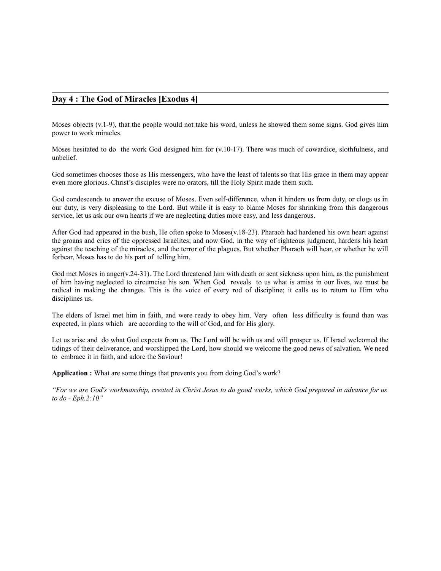#### **Day 4 : The God of Miracles [Exodus 4]**

Moses objects (v.1-9), that the people would not take his word, unless he showed them some signs. God gives him power to work miracles.

Moses hesitated to do the work God designed him for (v.10-17). There was much of cowardice, slothfulness, and unbelief.

God sometimes chooses those as His messengers, who have the least of talents so that His grace in them may appear even more glorious. Christ's disciples were no orators, till the Holy Spirit made them such.

God condescends to answer the excuse of Moses. Even self-difference, when it hinders us from duty, or clogs us in our duty, is very displeasing to the Lord. But while it is easy to blame Moses for shrinking from this dangerous service, let us ask our own hearts if we are neglecting duties more easy, and less dangerous.

After God had appeared in the bush, He often spoke to Moses(v.18-23). Pharaoh had hardened his own heart against the groans and cries of the oppressed Israelites; and now God, in the way of righteous judgment, hardens his heart against the teaching of the miracles, and the terror of the plagues. But whether Pharaoh will hear, or whether he will forbear, Moses has to do his part of telling him.

God met Moses in anger(v.24-31). The Lord threatened him with death or sent sickness upon him, as the punishment of him having neglected to circumcise his son. When God reveals to us what is amiss in our lives, we must be radical in making the changes. This is the voice of every rod of discipline; it calls us to return to Him who disciplines us.

The elders of Israel met him in faith, and were ready to obey him. Very often less difficulty is found than was expected, in plans which are according to the will of God, and for His glory.

Let us arise and do what God expects from us. The Lord will be with us and will prosper us. If Israel welcomed the tidings of their deliverance, and worshipped the Lord, how should we welcome the good news of salvation. We need to embrace it in faith, and adore the Saviour!

**Application :** What are some things that prevents you from doing God's work?

*"For we are God's workmanship, created in Christ Jesus to do good works, which God prepared in advance for us to do - Eph.2:10"*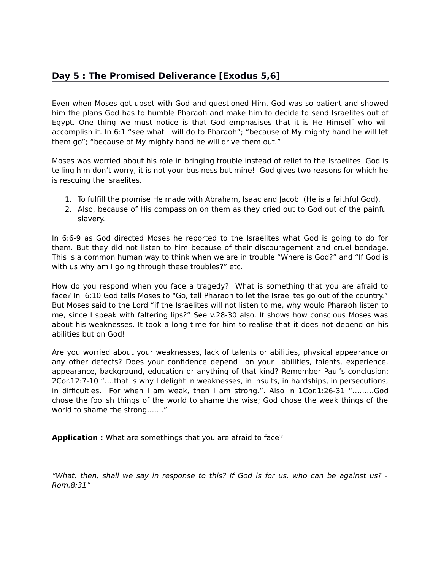# **Day 5 : The Promised Deliverance [Exodus 5,6]**

Even when Moses got upset with God and questioned Him, God was so patient and showed him the plans God has to humble Pharaoh and make him to decide to send Israelites out of Egypt. One thing we must notice is that God emphasises that it is He Himself who will accomplish it. In 6:1 "see what I will do to Pharaoh"; "because of My mighty hand he will let them go"; "because of My mighty hand he will drive them out."

Moses was worried about his role in bringing trouble instead of relief to the Israelites. God is telling him don't worry, it is not your business but mine! God gives two reasons for which he is rescuing the Israelites.

- 1. To fulfill the promise He made with Abraham, Isaac and Jacob. (He is a faithful God).
- 2. Also, because of His compassion on them as they cried out to God out of the painful slavery.

In 6:6-9 as God directed Moses he reported to the Israelites what God is going to do for them. But they did not listen to him because of their discouragement and cruel bondage. This is a common human way to think when we are in trouble "Where is God?" and "If God is with us why am I going through these troubles?" etc.

How do you respond when you face a tragedy? What is something that you are afraid to face? In 6:10 God tells Moses to "Go, tell Pharaoh to let the Israelites go out of the country." But Moses said to the Lord "if the Israelites will not listen to me, why would Pharaoh listen to me, since I speak with faltering lips?" See v.28-30 also. It shows how conscious Moses was about his weaknesses. It took a long time for him to realise that it does not depend on his abilities but on God!

Are you worried about your weaknesses, lack of talents or abilities, physical appearance or any other defects? Does your confidence depend on your abilities, talents, experience, appearance, background, education or anything of that kind? Remember Paul's conclusion: 2Cor.12:7-10 "….that is why I delight in weaknesses, in insults, in hardships, in persecutions, in difficulties. For when I am weak, then I am strong.". Also in 1Cor.1:26-31 "………God chose the foolish things of the world to shame the wise; God chose the weak things of the world to shame the strong……."

**Application :** What are somethings that you are afraid to face?

"What, then, shall we say in response to this? If God is for us, who can be against us? - Rom.8:31"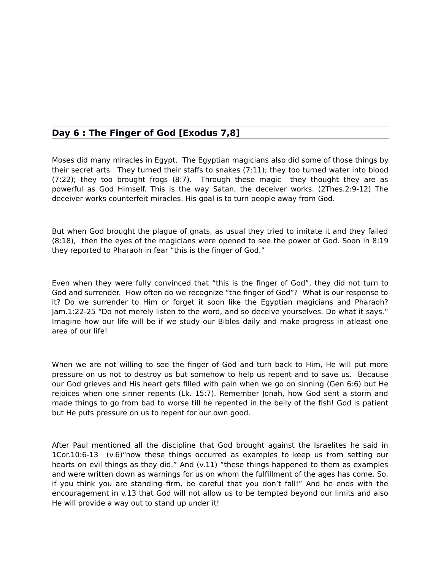# **Day 6 : The Finger of God [Exodus 7,8]**

Moses did many miracles in Egypt. The Egyptian magicians also did some of those things by their secret arts. They turned their staffs to snakes (7:11); they too turned water into blood (7:22); they too brought frogs (8:7). Through these magic they thought they are as powerful as God Himself. This is the way Satan, the deceiver works. (2Thes.2:9-12) The deceiver works counterfeit miracles. His goal is to turn people away from God.

But when God brought the plague of gnats, as usual they tried to imitate it and they failed (8:18), then the eyes of the magicians were opened to see the power of God. Soon in 8:19 they reported to Pharaoh in fear "this is the finger of God."

Even when they were fully convinced that "this is the finger of God", they did not turn to God and surrender. How often do we recognize "the finger of God"? What is our response to it? Do we surrender to Him or forget it soon like the Egyptian magicians and Pharaoh? Jam.1:22-25 "Do not merely listen to the word, and so deceive yourselves. Do what it says." Imagine how our life will be if we study our Bibles daily and make progress in atleast one area of our life!

When we are not willing to see the finger of God and turn back to Him, He will put more pressure on us not to destroy us but somehow to help us repent and to save us. Because our God grieves and His heart gets filled with pain when we go on sinning (Gen 6:6) but He rejoices when one sinner repents (Lk. 15:7). Remember Jonah, how God sent a storm and made things to go from bad to worse till he repented in the belly of the fish! God is patient but He puts pressure on us to repent for our own good.

After Paul mentioned all the discipline that God brought against the Israelites he said in 1Cor.10:6-13 (v.6)"now these things occurred as examples to keep us from setting our hearts on evil things as they did." And (v.11) "these things happened to them as examples and were written down as warnings for us on whom the fulfillment of the ages has come. So, if you think you are standing firm, be careful that you don't fall!" And he ends with the encouragement in v.13 that God will not allow us to be tempted beyond our limits and also He will provide a way out to stand up under it!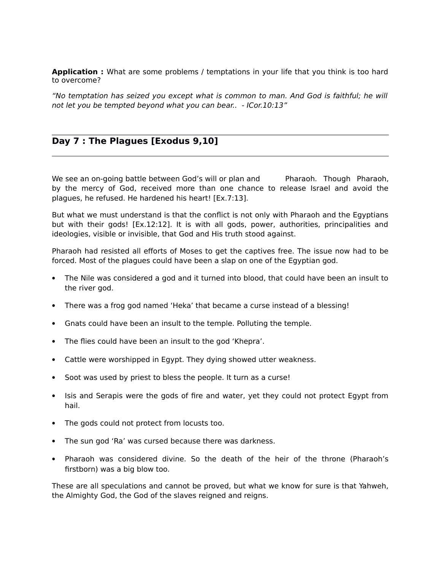**Application :** What are some problems / temptations in your life that you think is too hard to overcome?

"No temptation has seized you except what is common to man. And God is faithful; he will not let you be tempted beyond what you can bear.. - ICor.10:13"

# **Day 7 : The Plagues [Exodus 9,10]**

We see an on-going battle between God's will or plan and Pharaoh. Though Pharaoh, by the mercy of God, received more than one chance to release Israel and avoid the plagues, he refused. He hardened his heart! [Ex.7:13].

But what we must understand is that the conflict is not only with Pharaoh and the Egyptians but with their gods! [Ex.12:12]. It is with all gods, power, authorities, principalities and ideologies, visible or invisible, that God and His truth stood against.

Pharaoh had resisted all efforts of Moses to get the captives free. The issue now had to be forced. Most of the plagues could have been a slap on one of the Egyptian god.

- The Nile was considered a god and it turned into blood, that could have been an insult to the river god.
- There was a frog god named 'Heka' that became a curse instead of a blessing!
- Gnats could have been an insult to the temple. Polluting the temple.
- The flies could have been an insult to the god 'Khepra'.
- Cattle were worshipped in Egypt. They dying showed utter weakness.
- Soot was used by priest to bless the people. It turn as a curse!
- Isis and Serapis were the gods of fire and water, yet they could not protect Egypt from hail.
- The gods could not protect from locusts too.
- The sun god 'Ra' was cursed because there was darkness.
- Pharaoh was considered divine. So the death of the heir of the throne (Pharaoh's firstborn) was a big blow too.

These are all speculations and cannot be proved, but what we know for sure is that Yahweh, the Almighty God, the God of the slaves reigned and reigns.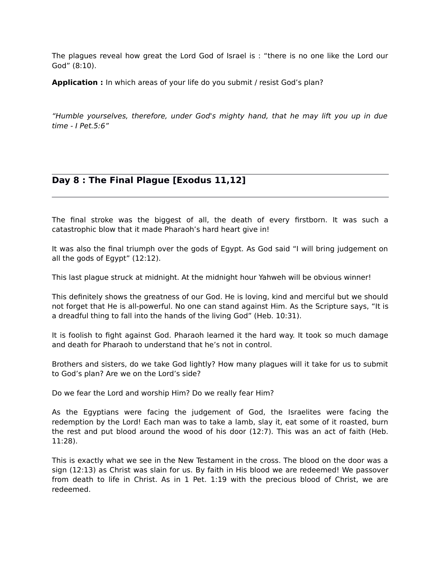The plagues reveal how great the Lord God of Israel is : "there is no one like the Lord our God" (8:10).

**Application :** In which areas of your life do you submit / resist God's plan?

"Humble yourselves, therefore, under God's mighty hand, that he may lift you up in due  $time - IPet.5:6"$ 

# **Day 8 : The Final Plague [Exodus 11,12]**

The final stroke was the biggest of all, the death of every firstborn. It was such a catastrophic blow that it made Pharaoh's hard heart give in!

It was also the final triumph over the gods of Egypt. As God said "I will bring judgement on all the gods of Egypt" (12:12).

This last plague struck at midnight. At the midnight hour Yahweh will be obvious winner!

This definitely shows the greatness of our God. He is loving, kind and merciful but we should not forget that He is all-powerful. No one can stand against Him. As the Scripture says, "It is a dreadful thing to fall into the hands of the living God" (Heb. 10:31).

It is foolish to fight against God. Pharaoh learned it the hard way. It took so much damage and death for Pharaoh to understand that he's not in control.

Brothers and sisters, do we take God lightly? How many plagues will it take for us to submit to God's plan? Are we on the Lord's side?

Do we fear the Lord and worship Him? Do we really fear Him?

As the Egyptians were facing the judgement of God, the Israelites were facing the redemption by the Lord! Each man was to take a lamb, slay it, eat some of it roasted, burn the rest and put blood around the wood of his door (12:7). This was an act of faith (Heb. 11:28).

This is exactly what we see in the New Testament in the cross. The blood on the door was a sign (12:13) as Christ was slain for us. By faith in His blood we are redeemed! We passover from death to life in Christ. As in 1 Pet. 1:19 with the precious blood of Christ, we are redeemed.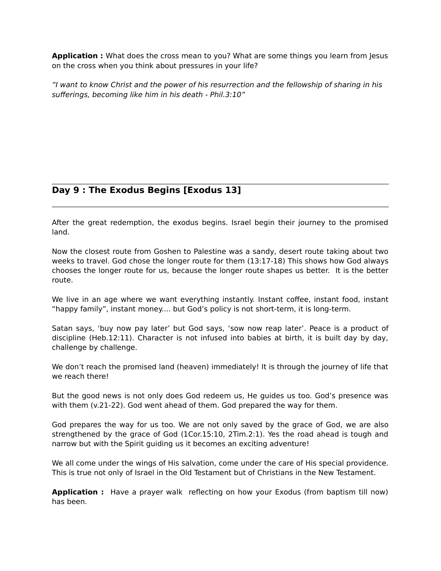**Application :** What does the cross mean to you? What are some things you learn from Jesus on the cross when you think about pressures in your life?

"I want to know Christ and the power of his resurrection and the fellowship of sharing in his sufferings, becoming like him in his death - Phil.3:10"

# **Day 9 : The Exodus Begins [Exodus 13]**

After the great redemption, the exodus begins. Israel begin their journey to the promised land.

Now the closest route from Goshen to Palestine was a sandy, desert route taking about two weeks to travel. God chose the longer route for them (13:17-18) This shows how God always chooses the longer route for us, because the longer route shapes us better. It is the better route.

We live in an age where we want everything instantly. Instant coffee, instant food, instant "happy family", instant money.... but God's policy is not short-term, it is long-term.

Satan says, 'buy now pay later' but God says, 'sow now reap later'. Peace is a product of discipline (Heb.12:11). Character is not infused into babies at birth, it is built day by day, challenge by challenge.

We don't reach the promised land (heaven) immediately! It is through the journey of life that we reach there!

But the good news is not only does God redeem us, He guides us too. God's presence was with them (v.21-22). God went ahead of them. God prepared the way for them.

God prepares the way for us too. We are not only saved by the grace of God, we are also strengthened by the grace of God (1Cor.15:10, 2Tim.2:1). Yes the road ahead is tough and narrow but with the Spirit guiding us it becomes an exciting adventure!

We all come under the wings of His salvation, come under the care of His special providence. This is true not only of Israel in the Old Testament but of Christians in the New Testament.

**Application :** Have a prayer walk reflecting on how your Exodus (from baptism till now) has been.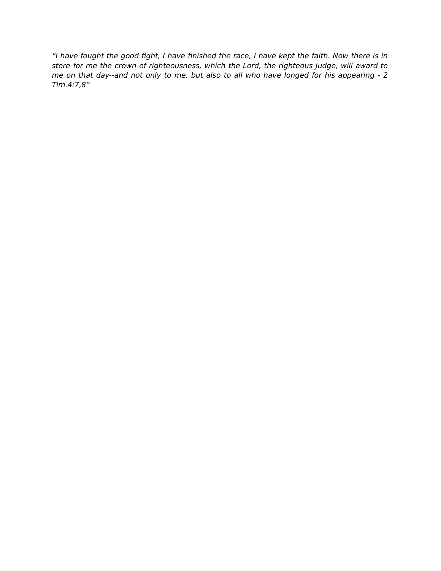"I have fought the good fight, I have finished the race, I have kept the faith. Now there is in store for me the crown of righteousness, which the Lord, the righteous Judge, will award to me on that day--and not only to me, but also to all who have longed for his appearing - 2 Tim.4:7,8"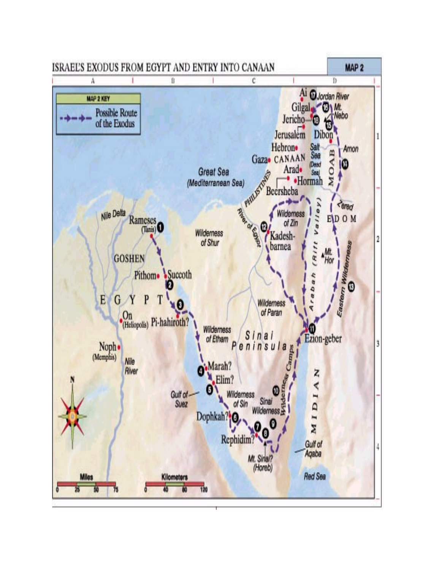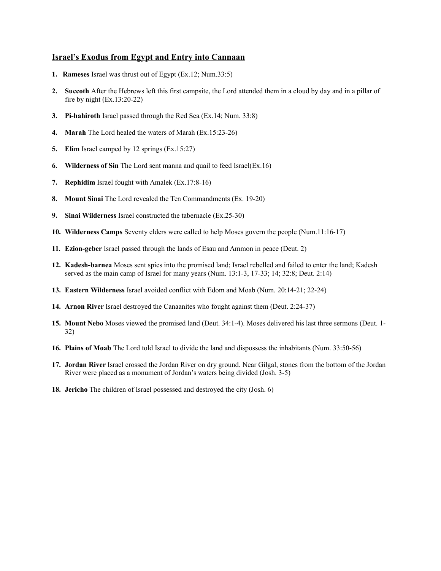## **Israel's Exodus from Egypt and Entry into Cannaan**

- **1. Rameses** Israel was thrust out of Egypt (Ex.12; Num.33:5)
- **2. Succoth** After the Hebrews left this first campsite, the Lord attended them in a cloud by day and in a pillar of fire by night (Ex.13:20-22)
- **3. Pi-hahiroth** Israel passed through the Red Sea (Ex.14; Num. 33:8)
- **4. Marah** The Lord healed the waters of Marah (Ex.15:23-26)
- **5. Elim** Israel camped by 12 springs (Ex.15:27)
- **6. Wilderness of Sin** The Lord sent manna and quail to feed Israel(Ex.16)
- **7. Rephidim** Israel fought with Amalek (Ex.17:8-16)
- **8. Mount Sinai** The Lord revealed the Ten Commandments (Ex. 19-20)
- **9. Sinai Wilderness** Israel constructed the tabernacle (Ex.25-30)
- **10. Wilderness Camps** Seventy elders were called to help Moses govern the people (Num.11:16-17)
- **11. Ezion-geber** Israel passed through the lands of Esau and Ammon in peace (Deut. 2)
- **12. Kadesh-barnea** Moses sent spies into the promised land; Israel rebelled and failed to enter the land; Kadesh served as the main camp of Israel for many years (Num. 13:1-3, 17-33; 14; 32:8; Deut. 2:14)
- **13. Eastern Wilderness** Israel avoided conflict with Edom and Moab (Num. 20:14-21; 22-24)
- **14. Arnon River** Israel destroyed the Canaanites who fought against them (Deut. 2:24-37)
- **15. Mount Nebo** Moses viewed the promised land (Deut. 34:1-4). Moses delivered his last three sermons (Deut. 1- 32)
- **16. Plains of Moab** The Lord told Israel to divide the land and dispossess the inhabitants (Num. 33:50-56)
- **17. Jordan River** Israel crossed the Jordan River on dry ground. Near Gilgal, stones from the bottom of the Jordan River were placed as a monument of Jordan's waters being divided (Josh. 3-5)
- **18. Jericho** The children of Israel possessed and destroyed the city (Josh. 6)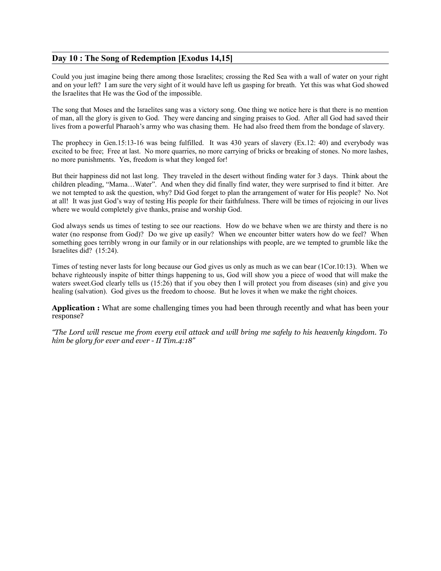## **Day 10 : The Song of Redemption [Exodus 14,15]**

Could you just imagine being there among those Israelites; crossing the Red Sea with a wall of water on your right and on your left? I am sure the very sight of it would have left us gasping for breath. Yet this was what God showed the Israelites that He was the God of the impossible.

The song that Moses and the Israelites sang was a victory song. One thing we notice here is that there is no mention of man, all the glory is given to God. They were dancing and singing praises to God. After all God had saved their lives from a powerful Pharaoh's army who was chasing them. He had also freed them from the bondage of slavery.

The prophecy in Gen.15:13-16 was being fulfilled. It was 430 years of slavery (Ex.12: 40) and everybody was excited to be free; Free at last. No more quarries, no more carrying of bricks or breaking of stones. No more lashes, no more punishments. Yes, freedom is what they longed for!

But their happiness did not last long. They traveled in the desert without finding water for 3 days. Think about the children pleading, "Mama…Water". And when they did finally find water, they were surprised to find it bitter. Are we not tempted to ask the question, why? Did God forget to plan the arrangement of water for His people? No. Not at all! It was just God's way of testing His people for their faithfulness. There will be times of rejoicing in our lives where we would completely give thanks, praise and worship God.

God always sends us times of testing to see our reactions. How do we behave when we are thirsty and there is no water (no response from God)? Do we give up easily? When we encounter bitter waters how do we feel? When something goes terribly wrong in our family or in our relationships with people, are we tempted to grumble like the Israelites did? (15:24).

Times of testing never lasts for long because our God gives us only as much as we can bear (1Cor.10:13). When we behave righteously inspite of bitter things happening to us, God will show you a piece of wood that will make the waters sweet.God clearly tells us (15:26) that if you obey then I will protect you from diseases (sin) and give you healing (salvation). God gives us the freedom to choose. But he loves it when we make the right choices.

**Application :** What are some challenging times you had been through recently and what has been your response?

*"The Lord will rescue me from every evil attack and will bring me safely to his heavenly kingdom. To him be glory for ever and ever - II Tim.4:18"*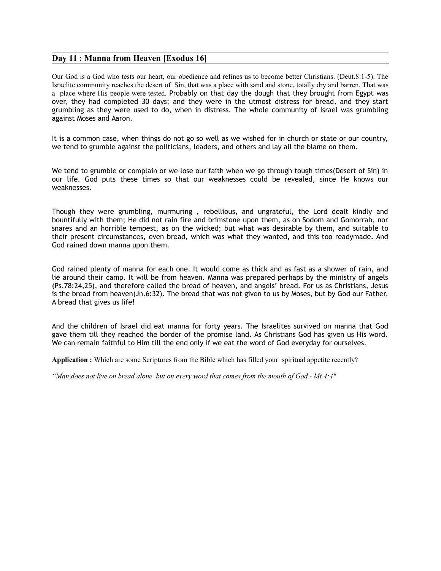### **Day 11 : Manna from Heaven [Exodus 16]**

Our God is a God who tests our heart, our obedience and refines us to become better Christians. (Deut.8:1-5). The Israelite community reaches the desert of Sin, that was a place with sand and stone, totally dry and barren. That was a place where His people were tested. Probably on that day the dough that they brought from Egypt was over, they had completed 30 days; and they were in the utmost distress for bread, and they start grumbling as they were used to do, when in distress. The whole community of Israel was grumbling against Moses and Aaron.

It is a common case, when things do not go so well as we wished for in church or state or our country, we tend to grumble against the politicians, leaders, and others and lay all the blame on them.

We tend to grumble or complain or we lose our faith when we go through tough times(Desert of Sin) in our life. God puts these times so that our weaknesses could be revealed, since He knows our weaknesses.

Though they were grumbling, murmuring , rebellious, and ungrateful, the Lord dealt kindly and bountifully with them; He did not rain fire and brimstone upon them, as on Sodom and Gomorrah, nor snares and an horrible tempest, as on the wicked; but what was desirable by them, and suitable to their present circumstances, even bread, which was what they wanted, and this too readymade. And God rained down manna upon them.

God rained plenty of manna for each one. It would come as thick and as fast as a shower of rain, and lie around their camp. It will be from heaven. Manna was prepared perhaps by the ministry of angels (Ps.78:24,25), and therefore called the bread of heaven, and angels' bread. For us as Christians, Jesus is the bread from heaven(Jn.6:32). The bread that was not given to us by Moses, but by God our Father. A bread that gives us life!

And the children of Israel did eat manna for forty years. The Israelites survived on manna that God gave them till they reached the border of the promise land. As Christians God has given us His word. We can remain faithful to Him till the end only if we eat the word of God everyday for ourselves.

**Application :** Which are some Scriptures from the Bible which has filled your spiritual appetite recently?

*"Man does not live on bread alone, but on every word that comes from the mouth of God - Mt.4:4"*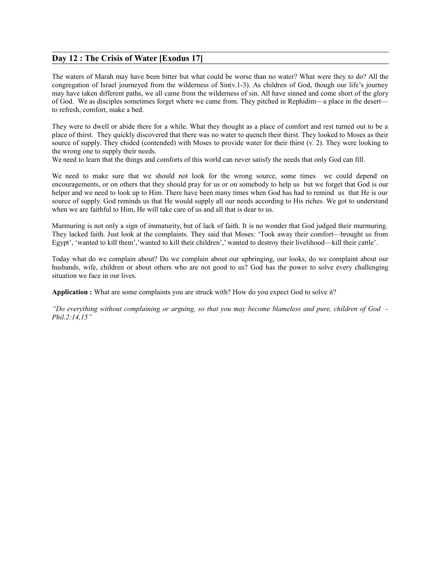## **Day 12 : The Crisis of Water [Exodus 17]**

The waters of Marah may have been bitter but what could be worse than no water? What were they to do? All the congregation of Israel journeyed from the wilderness of Sin(v.1-3). As children of God, though our life's journey may have taken different paths, we all came from the wilderness of sin. All have sinned and come short of the glory of God. We as disciples sometimes forget where we came from. They pitched in Rephidim—a place in the desert to refresh, comfort, make a bed.

They were to dwell or abide there for a while. What they thought as a place of comfort and rest turned out to be a place of thirst. They quickly discovered that there was no water to quench their thirst. They looked to Moses as their source of supply. They chided (contended) with Moses to provide water for their thirst (v. 2). They were looking to the wrong one to supply their needs.

We need to learn that the things and comforts of this world can never satisfy the needs that only God can fill.

We need to make sure that we should not look for the wrong source, some times we could depend on encouragements, or on others that they should pray for us or on somebody to help us but we forget that God is our helper and we need to look up to Him. There have been many times when God has had to remind us that He is our source of supply. God reminds us that He would supply all our needs according to His riches. We got to understand when we are faithful to Him, He will take care of us and all that is dear to us.

Murmuring is not only a sign of immaturity, but of lack of faith. It is no wonder that God judged their murmuring. They lacked faith. Just look at the complaints. They said that Moses: 'Took away their comfort—brought us from Egypt', 'wanted to kill them','wanted to kill their children',' wanted to destroy their livelihood—kill their cattle'.

Today what do we complain about? Do we complain about our upbringing, our looks, do we complaint about our husbands, wife, children or about others who are not good to us? God has the power to solve every challenging situation we face in our lives.

**Application :** What are some complaints you are struck with? How do you expect God to solve it?

*"Do everything without complaining or arguing, so that you may become blameless and pure, children of God - Phil.2:14,15"*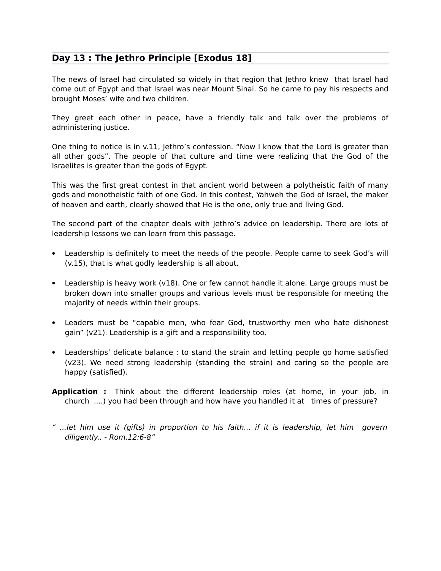# **Day 13 : The Jethro Principle [Exodus 18]**

The news of Israel had circulated so widely in that region that Jethro knew that Israel had come out of Egypt and that Israel was near Mount Sinai. So he came to pay his respects and brought Moses' wife and two children.

They greet each other in peace, have a friendly talk and talk over the problems of administering justice.

One thing to notice is in v.11, Jethro's confession. "Now I know that the Lord is greater than all other gods". The people of that culture and time were realizing that the God of the Israelites is greater than the gods of Egypt.

This was the first great contest in that ancient world between a polytheistic faith of many gods and monotheistic faith of one God. In this contest, Yahweh the God of Israel, the maker of heaven and earth, clearly showed that He is the one, only true and living God.

The second part of the chapter deals with Jethro's advice on leadership. There are lots of leadership lessons we can learn from this passage.

- Leadership is definitely to meet the needs of the people. People came to seek God's will (v.15), that is what godly leadership is all about.
- Leadership is heavy work (v18). One or few cannot handle it alone. Large groups must be broken down into smaller groups and various levels must be responsible for meeting the majority of needs within their groups.
- Leaders must be "capable men, who fear God, trustworthy men who hate dishonest gain" (v21). Leadership is a gift and a responsibility too.
- Leaderships' delicate balance : to stand the strain and letting people go home satisfied (v23). We need strong leadership (standing the strain) and caring so the people are happy (satisfied).
- **Application :** Think about the different leadership roles (at home, in your job, in church ....) you had been through and how have you handled it at times of pressure?
- " ...let him use it (gifts) in proportion to his faith... if it is leadership, let him govern diligently.. - Rom.12:6-8"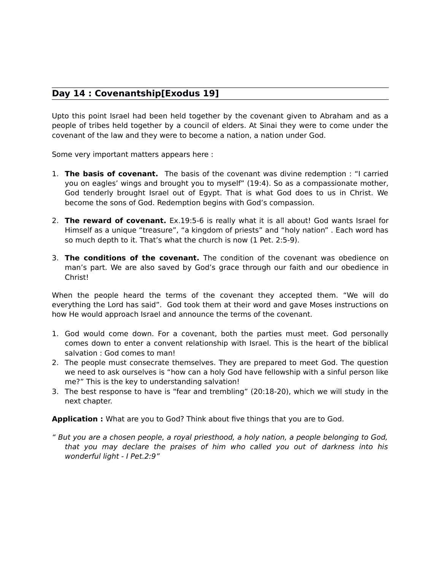## **Day 14 : Covenantship[Exodus 19]**

Upto this point Israel had been held together by the covenant given to Abraham and as a people of tribes held together by a council of elders. At Sinai they were to come under the covenant of the law and they were to become a nation, a nation under God.

Some very important matters appears here :

- 1. **The basis of covenant.** The basis of the covenant was divine redemption : "I carried you on eagles' wings and brought you to myself" (19:4). So as a compassionate mother, God tenderly brought Israel out of Egypt. That is what God does to us in Christ. We become the sons of God. Redemption begins with God's compassion.
- 2. **The reward of covenant.** Ex.19:5-6 is really what it is all about! God wants Israel for Himself as a unique "treasure", "a kingdom of priests" and "holy nation" . Each word has so much depth to it. That's what the church is now (1 Pet. 2:5-9).
- 3. **The conditions of the covenant.** The condition of the covenant was obedience on man's part. We are also saved by God's grace through our faith and our obedience in Christ!

When the people heard the terms of the covenant they accepted them. "We will do everything the Lord has said". God took them at their word and gave Moses instructions on how He would approach Israel and announce the terms of the covenant.

- 1. God would come down. For a covenant, both the parties must meet. God personally comes down to enter a convent relationship with Israel. This is the heart of the biblical salvation : God comes to man!
- 2. The people must consecrate themselves. They are prepared to meet God. The question we need to ask ourselves is "how can a holy God have fellowship with a sinful person like me?" This is the key to understanding salvation!
- 3. The best response to have is "fear and trembling" (20:18-20), which we will study in the next chapter.

**Application :** What are you to God? Think about five things that you are to God.

" But you are a chosen people, a royal priesthood, a holy nation, a people belonging to God, that you may declare the praises of him who called you out of darkness into his wonderful light - I Pet.2:9"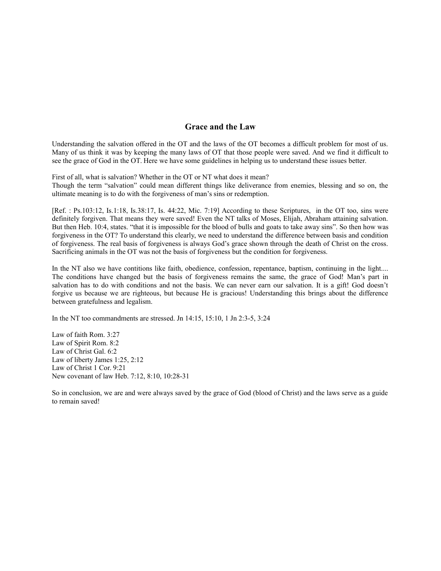## **Grace and the Law**

Understanding the salvation offered in the OT and the laws of the OT becomes a difficult problem for most of us. Many of us think it was by keeping the many laws of OT that those people were saved. And we find it difficult to see the grace of God in the OT. Here we have some guidelines in helping us to understand these issues better.

First of all, what is salvation? Whether in the OT or NT what does it mean? Though the term "salvation" could mean different things like deliverance from enemies, blessing and so on, the ultimate meaning is to do with the forgiveness of man's sins or redemption.

[Ref. : Ps.103:12, Is.1:18, Is.38:17, Is. 44:22, Mic. 7:19] According to these Scriptures, in the OT too, sins were definitely forgiven. That means they were saved! Even the NT talks of Moses, Elijah, Abraham attaining salvation. But then Heb. 10:4, states. "that it is impossible for the blood of bulls and goats to take away sins". So then how was forgiveness in the OT? To understand this clearly, we need to understand the difference between basis and condition of forgiveness. The real basis of forgiveness is always God's grace shown through the death of Christ on the cross. Sacrificing animals in the OT was not the basis of forgiveness but the condition for forgiveness.

In the NT also we have contitions like faith, obedience, confession, repentance, baptism, continuing in the light.... The conditions have changed but the basis of forgiveness remains the same, the grace of God! Man's part in salvation has to do with conditions and not the basis. We can never earn our salvation. It is a gift! God doesn't forgive us because we are righteous, but because He is gracious! Understanding this brings about the difference between gratefulness and legalism.

In the NT too commandments are stressed. Jn 14:15, 15:10, 1 Jn 2:3-5, 3:24

Law of faith Rom. 3:27 Law of Spirit Rom. 8:2 Law of Christ Gal. 6:2 Law of liberty James 1:25, 2:12 Law of Christ 1 Cor. 9:21 New covenant of law Heb. 7:12, 8:10, 10:28-31

So in conclusion, we are and were always saved by the grace of God (blood of Christ) and the laws serve as a guide to remain saved!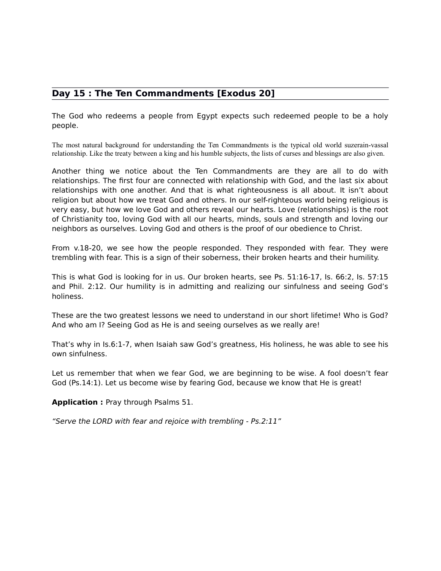# **Day 15 : The Ten Commandments [Exodus 20]**

The God who redeems a people from Egypt expects such redeemed people to be a holy people.

The most natural background for understanding the Ten Commandments is the typical old world suzerain-vassal relationship. Like the treaty between a king and his humble subjects, the lists of curses and blessings are also given.

Another thing we notice about the Ten Commandments are they are all to do with relationships. The first four are connected with relationship with God, and the last six about relationships with one another. And that is what righteousness is all about. It isn't about religion but about how we treat God and others. In our self-righteous world being religious is very easy, but how we love God and others reveal our hearts. Love (relationships) is the root of Christianity too, loving God with all our hearts, minds, souls and strength and loving our neighbors as ourselves. Loving God and others is the proof of our obedience to Christ.

From v.18-20, we see how the people responded. They responded with fear. They were trembling with fear. This is a sign of their soberness, their broken hearts and their humility.

This is what God is looking for in us. Our broken hearts, see Ps. 51:16-17, Is. 66:2, Is. 57:15 and Phil. 2:12. Our humility is in admitting and realizing our sinfulness and seeing God's holiness.

These are the two greatest lessons we need to understand in our short lifetime! Who is God? And who am I? Seeing God as He is and seeing ourselves as we really are!

That's why in Is.6:1-7, when Isaiah saw God's greatness, His holiness, he was able to see his own sinfulness.

Let us remember that when we fear God, we are beginning to be wise. A fool doesn't fear God (Ps.14:1). Let us become wise by fearing God, because we know that He is great!

**Application :** Pray through Psalms 51.

"Serve the LORD with fear and rejoice with trembling - Ps.2:11"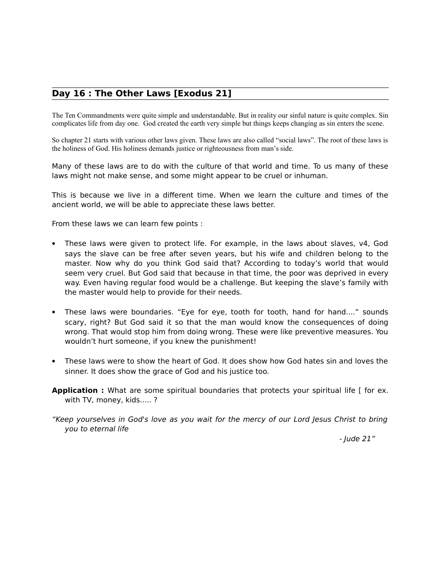# **Day 16 : The Other Laws [Exodus 21]**

The Ten Commandments were quite simple and understandable. But in reality our sinful nature is quite complex. Sin complicates life from day one. God created the earth very simple but things keeps changing as sin enters the scene.

So chapter 21 starts with various other laws given. These laws are also called "social laws". The root of these laws is the holiness of God. His holiness demands justice or righteousness from man's side.

Many of these laws are to do with the culture of that world and time. To us many of these laws might not make sense, and some might appear to be cruel or inhuman.

This is because we live in a different time. When we learn the culture and times of the ancient world, we will be able to appreciate these laws better.

From these laws we can learn few points :

- These laws were given to protect life. For example, in the laws about slaves, v4, God says the slave can be free after seven years, but his wife and children belong to the master. Now why do you think God said that? According to today's world that would seem very cruel. But God said that because in that time, the poor was deprived in every way. Even having regular food would be a challenge. But keeping the slave's family with the master would help to provide for their needs.
- These laws were boundaries. "Eye for eye, tooth for tooth, hand for hand...." sounds scary, right? But God said it so that the man would know the consequences of doing wrong. That would stop him from doing wrong. These were like preventive measures. You wouldn't hurt someone, if you knew the punishment!
- These laws were to show the heart of God. It does show how God hates sin and loves the sinner. It does show the grace of God and his justice too.
- **Application :** What are some spiritual boundaries that protects your spiritual life [ for ex. with TV, money, kids..... ?
- "Keep yourselves in God's love as you wait for the mercy of our Lord Jesus Christ to bring you to eternal life

- Jude 21"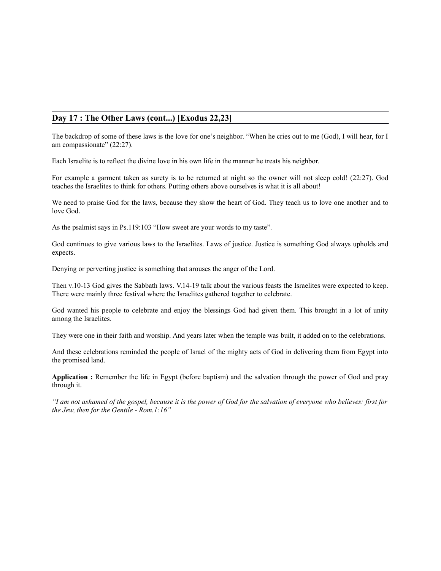## **Day 17 : The Other Laws (cont...) [Exodus 22,23]**

The backdrop of some of these laws is the love for one's neighbor. "When he cries out to me (God), I will hear, for I am compassionate" (22:27).

Each Israelite is to reflect the divine love in his own life in the manner he treats his neighbor.

For example a garment taken as surety is to be returned at night so the owner will not sleep cold! (22:27). God teaches the Israelites to think for others. Putting others above ourselves is what it is all about!

We need to praise God for the laws, because they show the heart of God. They teach us to love one another and to love God.

As the psalmist says in Ps.119:103 "How sweet are your words to my taste".

God continues to give various laws to the Israelites. Laws of justice. Justice is something God always upholds and expects.

Denying or perverting justice is something that arouses the anger of the Lord.

Then v.10-13 God gives the Sabbath laws. V.14-19 talk about the various feasts the Israelites were expected to keep. There were mainly three festival where the Israelites gathered together to celebrate.

God wanted his people to celebrate and enjoy the blessings God had given them. This brought in a lot of unity among the Israelites.

They were one in their faith and worship. And years later when the temple was built, it added on to the celebrations.

And these celebrations reminded the people of Israel of the mighty acts of God in delivering them from Egypt into the promised land.

**Application :** Remember the life in Egypt (before baptism) and the salvation through the power of God and pray through it.

*"I am not ashamed of the gospel, because it is the power of God for the salvation of everyone who believes: first for the Jew, then for the Gentile - Rom.1:16"*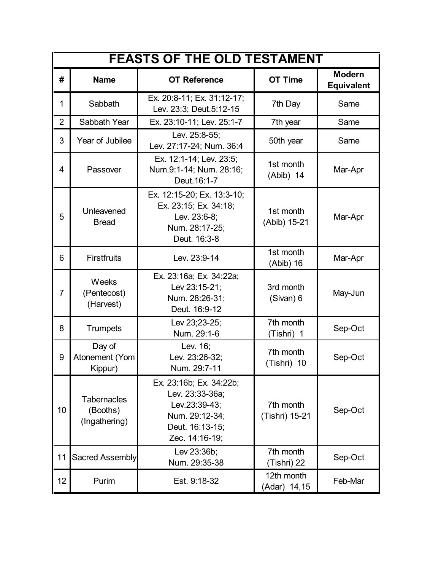| <b>FEASTS OF THE OLD TESTAMENT</b> |                                                 |                                                                                                                    |                             |                                    |  |  |
|------------------------------------|-------------------------------------------------|--------------------------------------------------------------------------------------------------------------------|-----------------------------|------------------------------------|--|--|
| #                                  | <b>Name</b>                                     | <b>OT Reference</b>                                                                                                | <b>OT Time</b>              | <b>Modern</b><br><b>Equivalent</b> |  |  |
| 1                                  | Sabbath                                         | Ex. 20:8-11; Ex. 31:12-17;<br>Lev. 23:3; Deut.5:12-15                                                              | 7th Day                     | Same                               |  |  |
| $\overline{2}$                     | Sabbath Year                                    | Ex. 23:10-11; Lev. 25:1-7                                                                                          | 7th year                    | Same                               |  |  |
| 3                                  | Year of Jubilee                                 | Lev. 25:8-55;<br>Lev. 27:17-24; Num. 36:4                                                                          | 50th year                   | Same                               |  |  |
| 4                                  | Passover                                        | Ex. 12:1-14; Lev. 23:5;<br>Num.9:1-14; Num. 28:16;<br>Deut. 16:1-7                                                 | 1st month<br>$(Abib)$ 14    | Mar-Apr                            |  |  |
| 5                                  | Unleavened<br><b>Bread</b>                      | Ex. 12:15-20; Ex. 13:3-10;<br>Ex. 23:15; Ex. 34:18;<br>Lev. 23:6-8;<br>Num. 28:17-25;<br>Deut. 16:3-8              | 1st month<br>(Abib) 15-21   | Mar-Apr                            |  |  |
| 6                                  | <b>Firstfruits</b>                              | Lev. 23:9-14                                                                                                       | 1st month<br>(Abib) 16      | Mar-Apr                            |  |  |
| $\overline{7}$                     | Weeks<br>(Pentecost)<br>(Harvest)               | Ex. 23:16a; Ex. 34:22a;<br>Lev 23:15-21;<br>Num. 28:26-31;<br>Deut. 16:9-12                                        | 3rd month<br>(Sivan) 6      | May-Jun                            |  |  |
| 8                                  | Trumpets                                        | Lev 23;23-25;<br>Num. 29:1-6                                                                                       | 7th month<br>(Tishri) 1     | Sep-Oct                            |  |  |
| 9                                  | Day of<br>Atonement (Yom<br>Kippur)             | Lev. 16;<br>Lev. 23:26-32;<br>Num. 29:7-11                                                                         | 7th month<br>(Tishri) 10    | Sep-Oct                            |  |  |
| 10                                 | <b>Tabernacles</b><br>(Booths)<br>(Ingathering) | Ex. 23:16b; Ex. 34:22b;<br>Lev. 23:33-36a;<br>Lev.23:39-43;<br>Num. 29:12-34;<br>Deut. 16:13-15;<br>Zec. 14:16-19; | 7th month<br>(Tishri) 15-21 | Sep-Oct                            |  |  |
| 11                                 | Sacred Assembly                                 | Lev 23:36b;<br>Num. 29:35-38                                                                                       | 7th month<br>(Tishri) 22    | Sep-Oct                            |  |  |
| 12                                 | Purim                                           | Est. 9:18-32                                                                                                       | 12th month<br>(Adar) 14,15  | Feb-Mar                            |  |  |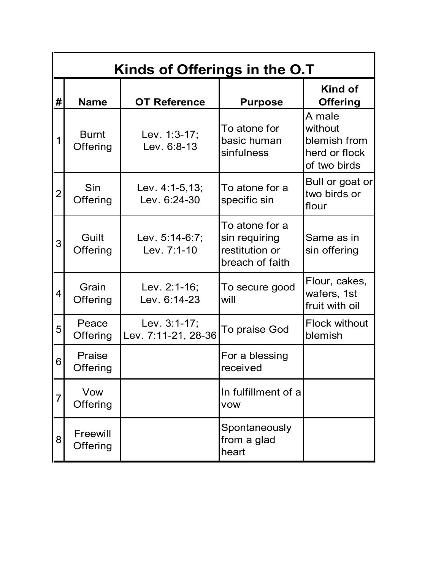| Kinds of Offerings in the O.T |                          |                                     |                                                                      |                                                                    |  |  |  |
|-------------------------------|--------------------------|-------------------------------------|----------------------------------------------------------------------|--------------------------------------------------------------------|--|--|--|
| #                             | <b>Name</b>              | <b>OT Reference</b>                 | <b>Purpose</b>                                                       | <b>Kind of</b><br><b>Offering</b>                                  |  |  |  |
| 1                             | <b>Burnt</b><br>Offering | Lev. 1:3-17;<br>Lev. 6:8-13         | To atone for<br>basic human<br>sinfulness                            | A male<br>without<br>blemish from<br>herd or flock<br>of two birds |  |  |  |
| 2                             | Sin<br>Offering          | Lev. $4:1-5,13$ ;<br>Lev. 6:24-30   | To atone for a<br>specific sin                                       | Bull or goat or<br>two birds or<br>flour                           |  |  |  |
| 3                             | Guilt<br>Offering        | Lev. 5:14-6:7;<br>Lev. 7:1-10       | To atone for a<br>sin requiring<br>restitution or<br>breach of faith | Same as in<br>sin offering                                         |  |  |  |
| 4                             | Grain<br>Offering        | Lev. 2:1-16;<br>Lev. 6:14-23        | To secure good<br>will                                               | Flour, cakes,<br>wafers, 1st<br>fruit with oil                     |  |  |  |
| 5                             | Peace<br>Offering        | Lev. 3:1-17;<br>Lev. 7:11-21, 28-36 | To praise God                                                        | <b>Flock without</b><br>blemish                                    |  |  |  |
| 6                             | Praise<br>Offering       |                                     | For a blessing<br>received                                           |                                                                    |  |  |  |
| 7                             | Vow<br>Offering          |                                     | In fulfillment of a<br><b>VOW</b>                                    |                                                                    |  |  |  |
| 8                             | Freewill<br>Offering     |                                     | Spontaneously<br>from a glad<br>heart                                |                                                                    |  |  |  |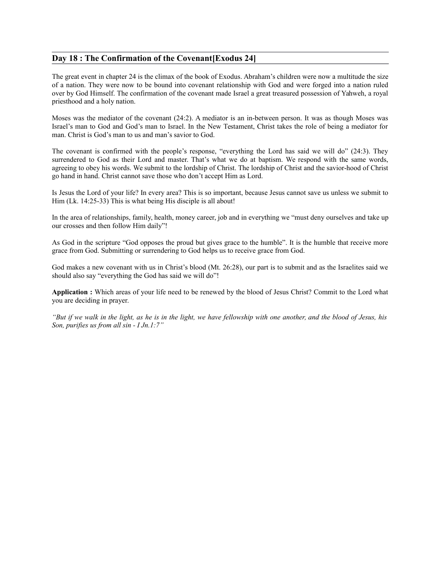### **Day 18 : The Confirmation of the Covenant[Exodus 24]**

The great event in chapter 24 is the climax of the book of Exodus. Abraham's children were now a multitude the size of a nation. They were now to be bound into covenant relationship with God and were forged into a nation ruled over by God Himself. The confirmation of the covenant made Israel a great treasured possession of Yahweh, a royal priesthood and a holy nation.

Moses was the mediator of the covenant (24:2). A mediator is an in-between person. It was as though Moses was Israel's man to God and God's man to Israel. In the New Testament, Christ takes the role of being a mediator for man. Christ is God's man to us and man's savior to God.

The covenant is confirmed with the people's response, "everything the Lord has said we will do" (24:3). They surrendered to God as their Lord and master. That's what we do at baptism. We respond with the same words, agreeing to obey his words. We submit to the lordship of Christ. The lordship of Christ and the savior-hood of Christ go hand in hand. Christ cannot save those who don't accept Him as Lord.

Is Jesus the Lord of your life? In every area? This is so important, because Jesus cannot save us unless we submit to Him (Lk. 14:25-33) This is what being His disciple is all about!

In the area of relationships, family, health, money career, job and in everything we "must deny ourselves and take up our crosses and then follow Him daily"!

As God in the scripture "God opposes the proud but gives grace to the humble". It is the humble that receive more grace from God. Submitting or surrendering to God helps us to receive grace from God.

God makes a new covenant with us in Christ's blood (Mt. 26:28), our part is to submit and as the Israelites said we should also say "everything the God has said we will do"!

**Application :** Which areas of your life need to be renewed by the blood of Jesus Christ? Commit to the Lord what you are deciding in prayer.

*"But if we walk in the light, as he is in the light, we have fellowship with one another, and the blood of Jesus, his Son, purifies us from all sin - I Jn.1:7"*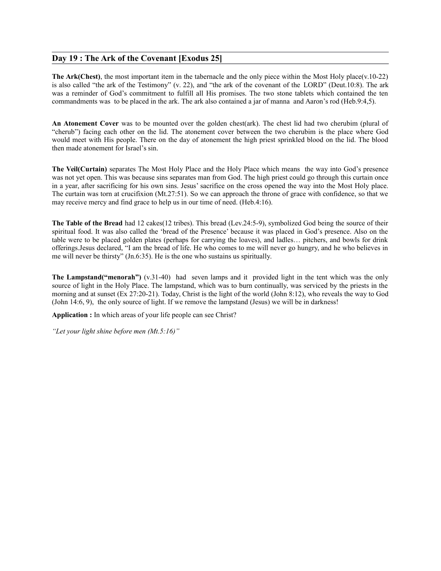### **Day 19 : The Ark of the Covenant [Exodus 25]**

**The Ark(Chest)**, the most important item in the tabernacle and the only piece within the Most Holy place(v.10-22) is also called "the ark of the Testimony" (v. 22), and "the ark of the covenant of the LORD" (Deut.10:8). The ark was a reminder of God's commitment to fulfill all His promises. The two stone tablets which contained the ten commandments was to be placed in the ark. The ark also contained a jar of manna and Aaron's rod (Heb.9:4,5).

**An Atonement Cover** was to be mounted over the golden chest(ark). The chest lid had two cherubim (plural of "cherub") facing each other on the lid. The atonement cover between the two cherubim is the place where God would meet with His people. There on the day of atonement the high priest sprinkled blood on the lid. The blood then made atonement for Israel's sin.

**The Veil(Curtain)** separates The Most Holy Place and the Holy Place which means the way into God's presence was not yet open. This was because sins separates man from God. The high priest could go through this curtain once in a year, after sacrificing for his own sins. Jesus' sacrifice on the cross opened the way into the Most Holy place. The curtain was torn at crucifixion (Mt.27:51). So we can approach the throne of grace with confidence, so that we may receive mercy and find grace to help us in our time of need. (Heb.4:16).

**The Table of the Bread** had 12 cakes(12 tribes). This bread (Lev.24:5-9), symbolized God being the source of their spiritual food. It was also called the 'bread of the Presence' because it was placed in God's presence. Also on the table were to be placed golden plates (perhaps for carrying the loaves), and ladles… pitchers, and bowls for drink offerings.Jesus declared, "I am the bread of life. He who comes to me will never go hungry, and he who believes in me will never be thirsty" (Jn.6:35). He is the one who sustains us spiritually.

**The Lampstand("menorah")** (v.31-40) had seven lamps and it provided light in the tent which was the only source of light in the Holy Place. The lampstand, which was to burn continually, was serviced by the priests in the morning and at sunset (Ex 27:20-21). Today, Christ is the light of the world (John 8:12), who reveals the way to God (John 14:6, 9), the only source of light. If we remove the lampstand (Jesus) we will be in darkness!

**Application :** In which areas of your life people can see Christ?

*"Let your light shine before men (Mt.5:16)"*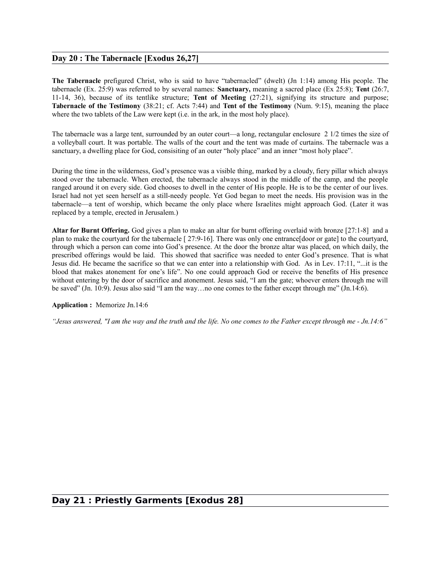### **Day 20 : The Tabernacle [Exodus 26,27]**

**The Tabernacle** prefigured Christ, who is said to have "tabernacled" (dwelt) (Jn 1:14) among His people. The tabernacle (Ex. 25:9) was referred to by several names: **Sanctuary,** meaning a sacred place (Ex 25:8); **Tent** (26:7, 11-14, 36), because of its tentlike structure; **Tent of Meeting** (27:21), signifying its structure and purpose; **Tabernacle of the Testimony** (38:21; cf. Acts 7:44) and **Tent of the Testimony** (Num. 9:15), meaning the place where the two tablets of the Law were kept *(i.e. in the ark, in the most holy place).* 

The tabernacle was a large tent, surrounded by an outer court—a long, rectangular enclosure 2 1/2 times the size of a volleyball court. It was portable. The walls of the court and the tent was made of curtains. The tabernacle was a sanctuary, a dwelling place for God, consisiting of an outer "holy place" and an inner "most holy place".

During the time in the wilderness, God's presence was a visible thing, marked by a cloudy, fiery pillar which always stood over the tabernacle. When erected, the tabernacle always stood in the middle of the camp, and the people ranged around it on every side. God chooses to dwell in the center of His people. He is to be the center of our lives. Israel had not yet seen herself as a still-needy people. Yet God began to meet the needs. His provision was in the tabernacle—a tent of worship, which became the only place where Israelites might approach God. (Later it was replaced by a temple, erected in Jerusalem.)

**Altar for Burnt Offering.** God gives a plan to make an altar for burnt offering overlaid with bronze [27:1-8] and a plan to make the courtyard for the tabernacle [ 27:9-16]. There was only one entrance[door or gate] to the courtyard, through which a person can come into God's presence. At the door the bronze altar was placed, on which daily, the prescribed offerings would be laid. This showed that sacrifice was needed to enter God's presence. That is what Jesus did. He became the sacrifice so that we can enter into a relationship with God. As in Lev. 17:11, "...it is the blood that makes atonement for one's life". No one could approach God or receive the benefits of His presence without entering by the door of sacrifice and atonement. Jesus said, "I am the gate; whoever enters through me will be saved" (Jn. 10:9). Jesus also said "I am the way…no one comes to the father except through me" (Jn.14:6).

#### **Application :** Memorize Jn.14:6

*"Jesus answered, "I am the way and the truth and the life. No one comes to the Father except through me - Jn.14:6"*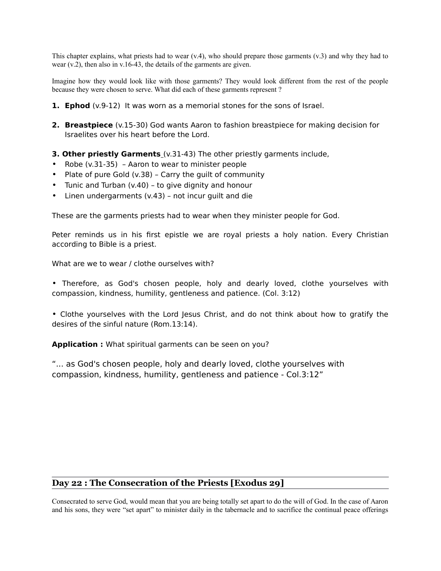This chapter explains, what priests had to wear  $(v.4)$ , who should prepare those garments  $(v.3)$  and why they had to wear (v.2), then also in v.16-43, the details of the garments are given.

Imagine how they would look like with those garments? They would look different from the rest of the people because they were chosen to serve. What did each of these garments represent ?

- **1. Ephod** (v.9-12) It was worn as a memorial stones for the sons of Israel.
- **2. Breastpiece** (v.15-30) God wants Aaron to fashion breastpiece for making decision for Israelites over his heart before the Lord.
- **3. Other priestly Garments** (v.31-43) The other priestly garments include,
- Robe (v.31-35) Aaron to wear to minister people
- Plate of pure Gold (v.38) Carry the guilt of community
- Tunic and Turban (v.40) to give dignity and honour
- Linen undergarments (v.43) not incur guilt and die

These are the garments priests had to wear when they minister people for God.

Peter reminds us in his first epistle we are royal priests a holy nation. Every Christian according to Bible is a priest.

What are we to wear / clothe ourselves with?

• Therefore, as God's chosen people, holy and dearly loved, clothe yourselves with compassion, kindness, humility, gentleness and patience. (Col. 3:12)

• Clothe yourselves with the Lord Jesus Christ, and do not think about how to gratify the desires of the sinful nature (Rom.13:14).

**Application :** What spiritual garments can be seen on you?

"... as God's chosen people, holy and dearly loved, clothe yourselves with compassion, kindness, humility, gentleness and patience - Col.3:12"

## **Day 22 : The Consecration of the Priests [Exodus 29]**

Consecrated to serve God, would mean that you are being totally set apart to do the will of God. In the case of Aaron and his sons, they were "set apart" to minister daily in the tabernacle and to sacrifice the continual peace offerings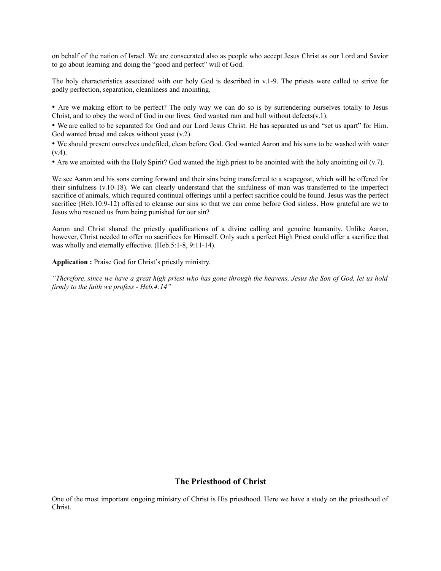on behalf of the nation of Israel. We are consecrated also as people who accept Jesus Christ as our Lord and Savior to go about learning and doing the "good and perfect" will of God.

The holy characteristics associated with our holy God is described in v.1-9. The priests were called to strive for godly perfection, separation, cleanliness and anointing.

• Are we making effort to be perfect? The only way we can do so is by surrendering ourselves totally to Jesus Christ, and to obey the word of God in our lives. God wanted ram and bull without defects( $v.1$ ).

• We are called to be separated for God and our Lord Jesus Christ. He has separated us and "set us apart" for Him. God wanted bread and cakes without yeast (v.2).

• We should present ourselves undefiled, clean before God. God wanted Aaron and his sons to be washed with water  $(v.4)$ .

• Are we anointed with the Holy Spirit? God wanted the high priest to be anointed with the holy anointing oil (v.7).

We see Aaron and his sons coming forward and their sins being transferred to a scapegoat, which will be offered for their sinfulness (v.10-18). We can clearly understand that the sinfulness of man was transferred to the imperfect sacrifice of animals, which required continual offerings until a perfect sacrifice could be found. Jesus was the perfect sacrifice (Heb.10:9-12) offered to cleanse our sins so that we can come before God sinless. How grateful are we to Jesus who rescued us from being punished for our sin?

Aaron and Christ shared the priestly qualifications of a divine calling and genuine humanity. Unlike Aaron, however, Christ needed to offer no sacrifices for Himself. Only such a perfect High Priest could offer a sacrifice that was wholly and eternally effective. (Heb.5:1-8, 9:11-14).

**Application :** Praise God for Christ's priestly ministry.

*"Therefore, since we have a great high priest who has gone through the heavens, Jesus the Son of God, let us hold firmly to the faith we profess - Heb.4:14"*

#### **The Priesthood of Christ**

One of the most important ongoing ministry of Christ is His priesthood. Here we have a study on the priesthood of Christ.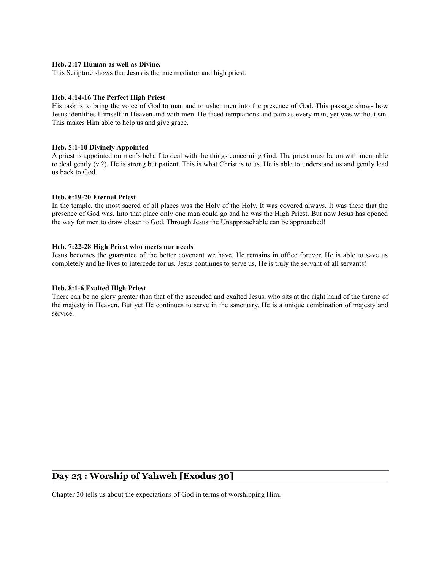#### **Heb. 2:17 Human as well as Divine.**

This Scripture shows that Jesus is the true mediator and high priest.

#### **Heb. 4:14-16 The Perfect High Priest**

His task is to bring the voice of God to man and to usher men into the presence of God. This passage shows how Jesus identifies Himself in Heaven and with men. He faced temptations and pain as every man, yet was without sin. This makes Him able to help us and give grace.

#### **Heb. 5:1-10 Divinely Appointed**

A priest is appointed on men's behalf to deal with the things concerning God. The priest must be on with men, able to deal gently (v.2). He is strong but patient. This is what Christ is to us. He is able to understand us and gently lead us back to God.

#### **Heb. 6:19-20 Eternal Priest**

In the temple, the most sacred of all places was the Holy of the Holy. It was covered always. It was there that the presence of God was. Into that place only one man could go and he was the High Priest. But now Jesus has opened the way for men to draw closer to God. Through Jesus the Unapproachable can be approached!

#### **Heb. 7:22-28 High Priest who meets our needs**

Jesus becomes the guarantee of the better covenant we have. He remains in office forever. He is able to save us completely and he lives to intercede for us. Jesus continues to serve us, He is truly the servant of all servants!

#### **Heb. 8:1-6 Exalted High Priest**

There can be no glory greater than that of the ascended and exalted Jesus, who sits at the right hand of the throne of the majesty in Heaven. But yet He continues to serve in the sanctuary. He is a unique combination of majesty and service.

## **Day 23 : Worship of Yahweh [Exodus 30]**

Chapter 30 tells us about the expectations of God in terms of worshipping Him.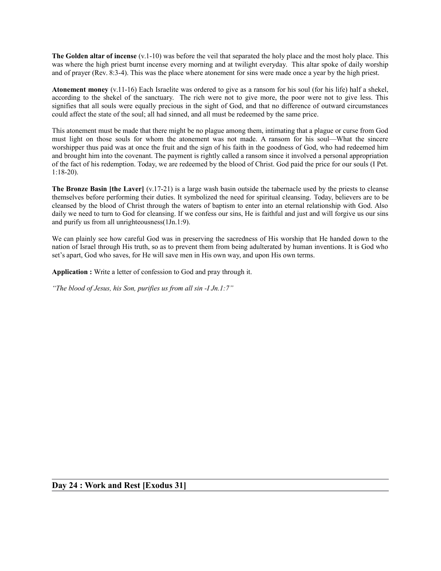**The Golden altar of incense** (v.1-10) was before the veil that separated the holy place and the most holy place. This was where the high priest burnt incense every morning and at twilight everyday. This altar spoke of daily worship and of prayer (Rev. 8:3-4). This was the place where atonement for sins were made once a year by the high priest.

**Atonement money** (v.11-16) Each Israelite was ordered to give as a ransom for his soul (for his life) half a shekel, according to the shekel of the sanctuary. The rich were not to give more, the poor were not to give less. This signifies that all souls were equally precious in the sight of God, and that no difference of outward circumstances could affect the state of the soul; all had sinned, and all must be redeemed by the same price.

This atonement must be made that there might be no plague among them, intimating that a plague or curse from God must light on those souls for whom the atonement was not made. A ransom for his soul—What the sincere worshipper thus paid was at once the fruit and the sign of his faith in the goodness of God, who had redeemed him and brought him into the covenant. The payment is rightly called a ransom since it involved a personal appropriation of the fact of his redemption. Today, we are redeemed by the blood of Christ. God paid the price for our souls (I Pet. 1:18-20).

**The Bronze Basin [the Laver]** (v.17-21) is a large wash basin outside the tabernacle used by the priests to cleanse themselves before performing their duties. It symbolized the need for spiritual cleansing. Today, believers are to be cleansed by the blood of Christ through the waters of baptism to enter into an eternal relationship with God. Also daily we need to turn to God for cleansing. If we confess our sins, He is faithful and just and will forgive us our sins and purify us from all unrighteousness(1Jn.1:9).

We can plainly see how careful God was in preserving the sacredness of His worship that He handed down to the nation of Israel through His truth, so as to prevent them from being adulterated by human inventions. It is God who set's apart, God who saves, for He will save men in His own way, and upon His own terms.

**Application :** Write a letter of confession to God and pray through it.

*"The blood of Jesus, his Son, purifies us from all sin -I Jn.1:7"*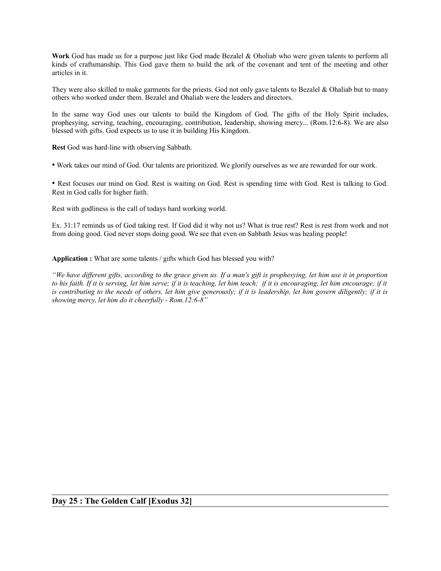**Work** God has made us for a purpose just like God made Bezalel & Oholiab who were given talents to perform all kinds of craftsmanship. This God gave them to build the ark of the covenant and tent of the meeting and other articles in it.

They were also skilled to make garments for the priests. God not only gave talents to Bezalel & Ohaliab but to many others who worked under them. Bezalel and Ohaliab were the leaders and directors.

In the same way God uses our talents to build the Kingdom of God. The gifts of the Holy Spirit includes, prophesying, serving, teaching, encouraging, contribution, leadership, showing mercy... (Rom.12:6-8). We are also blessed with gifts. God expects us to use it in building His Kingdom.

**Rest** God was hard-line with observing Sabbath.

• Work takes our mind of God. Our talents are prioritized. We glorify ourselves as we are rewarded for our work.

• Rest focuses our mind on God. Rest is waiting on God. Rest is spending time with God. Rest is talking to God. Rest in God calls for higher faith.

Rest with godliness is the call of todays hard working world.

Ex. 31:17 reminds us of God taking rest. If God did it why not us? What is true rest? Rest is rest from work and not from doing good. God never stops doing good. We see that even on Sabbath Jesus was healing people!

**Application :** What are some talents / gifts which God has blessed you with?

*"We have different gifts, according to the grace given us. If a man's gift is prophesying, let him use it in proportion to his faith. If it is serving, let him serve; if it is teaching, let him teach; if it is encouraging, let him encourage; if it is contributing to the needs of others, let him give generously; if it is leadership, let him govern diligently; if it is showing mercy, let him do it cheerfully - Rom.12:6-8"*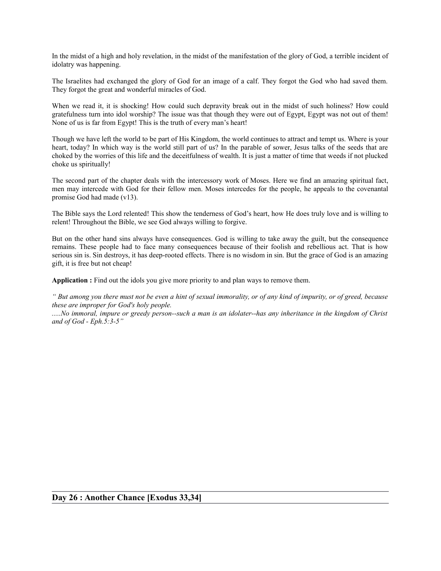In the midst of a high and holy revelation, in the midst of the manifestation of the glory of God, a terrible incident of idolatry was happening.

The Israelites had exchanged the glory of God for an image of a calf. They forgot the God who had saved them. They forgot the great and wonderful miracles of God.

When we read it, it is shocking! How could such depravity break out in the midst of such holiness? How could gratefulness turn into idol worship? The issue was that though they were out of Egypt, Egypt was not out of them! None of us is far from Egypt! This is the truth of every man's heart!

Though we have left the world to be part of His Kingdom, the world continues to attract and tempt us. Where is your heart, today? In which way is the world still part of us? In the parable of sower, Jesus talks of the seeds that are choked by the worries of this life and the deceitfulness of wealth. It is just a matter of time that weeds if not plucked choke us spiritually!

The second part of the chapter deals with the intercessory work of Moses. Here we find an amazing spiritual fact, men may intercede with God for their fellow men. Moses intercedes for the people, he appeals to the covenantal promise God had made (v13).

The Bible says the Lord relented! This show the tenderness of God's heart, how He does truly love and is willing to relent! Throughout the Bible, we see God always willing to forgive.

But on the other hand sins always have consequences. God is willing to take away the guilt, but the consequence remains. These people had to face many consequences because of their foolish and rebellious act. That is how serious sin is. Sin destroys, it has deep-rooted effects. There is no wisdom in sin. But the grace of God is an amazing gift, it is free but not cheap!

**Application :** Find out the idols you give more priority to and plan ways to remove them.

*" But among you there must not be even a hint of sexual immorality, or of any kind of impurity, or of greed, because these are improper for God's holy people.*

*.....No immoral, impure or greedy person--such a man is an idolater--has any inheritance in the kingdom of Christ and of God - Eph.5:3-5"*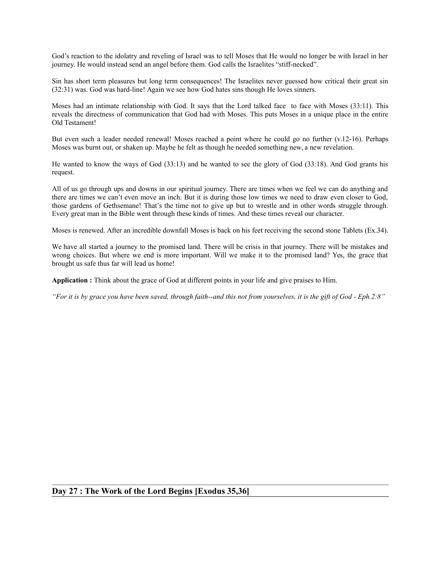God's reaction to the idolatry and reveling of Israel was to tell Moses that He would no longer be with Israel in her journey. He would instead send an angel before them. God calls the Israelites "stiff-necked".

Sin has short term pleasures but long term consequences! The Israelites never guessed how critical their great sin (32:31) was. God was hard-line! Again we see how God hates sins though He loves sinners.

Moses had an intimate relationship with God. It says that the Lord talked face to face with Moses (33:11). This reveals the directness of communication that God had with Moses. This puts Moses in a unique place in the entire Old Testament!

But even such a leader needed renewal! Moses reached a point where he could go no further (v.12-16). Perhaps Moses was burnt out, or shaken up. Maybe he felt as though he needed something new, a new revelation.

He wanted to know the ways of God (33:13) and he wanted to see the glory of God (33:18). And God grants his request.

All of us go through ups and downs in our spiritual journey. There are times when we feel we can do anything and there are times we can't even move an inch. But it is during those low times we need to draw even closer to God, those gardens of Gethsemane! That's the time not to give up but to wrestle and in other words struggle through. Every great man in the Bible went through these kinds of times. And these times reveal our character.

Moses is renewed. After an incredible downfall Moses is back on his feet receiving the second stone Tablets (Ex.34).

We have all started a journey to the promised land. There will be crisis in that journey. There will be mistakes and wrong choices. But where we end is more important. Will we make it to the promised land? Yes, the grace that brought us safe thus far will lead us home!

**Application :** Think about the grace of God at different points in your life and give praises to Him.

*"For it is by grace you have been saved, through faith--and this not from yourselves, it is the gift of God - Eph.2:8"*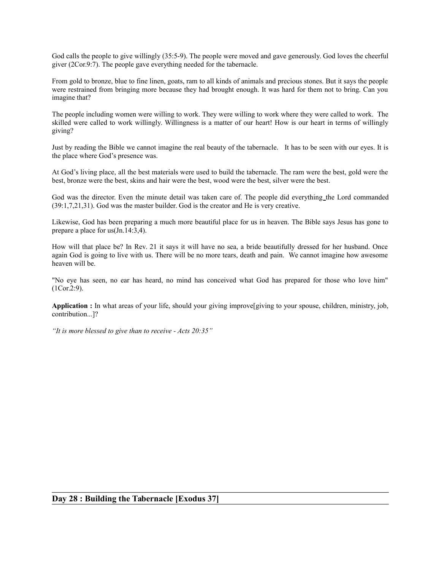God calls the people to give willingly (35:5-9). The people were moved and gave generously. God loves the cheerful giver (2Cor.9:7). The people gave everything needed for the tabernacle.

From gold to bronze, blue to fine linen, goats, ram to all kinds of animals and precious stones. But it says the people were restrained from bringing more because they had brought enough. It was hard for them not to bring. Can you imagine that?

The people including women were willing to work. They were willing to work where they were called to work. The skilled were called to work willingly. Willingness is a matter of our heart! How is our heart in terms of willingly giving?

Just by reading the Bible we cannot imagine the real beauty of the tabernacle. It has to be seen with our eyes. It is the place where God's presence was.

At God's living place, all the best materials were used to build the tabernacle. The ram were the best, gold were the best, bronze were the best, skins and hair were the best, wood were the best, silver were the best.

God was the director. Even the minute detail was taken care of. The people did everything the Lord commanded (39:1,7,21,31). God was the master builder. God is the creator and He is very creative.

Likewise, God has been preparing a much more beautiful place for us in heaven. The Bible says Jesus has gone to prepare a place for us(Jn.14:3,4).

How will that place be? In Rev. 21 it says it will have no sea, a bride beautifully dressed for her husband. Once again God is going to live with us. There will be no more tears, death and pain. We cannot imagine how awesome heaven will be.

"No eye has seen, no ear has heard, no mind has conceived what God has prepared for those who love him" (1Cor.2:9).

**Application :** In what areas of your life, should your giving improve[giving to your spouse, children, ministry, job, contribution...]?

*"It is more blessed to give than to receive - Acts 20:35"*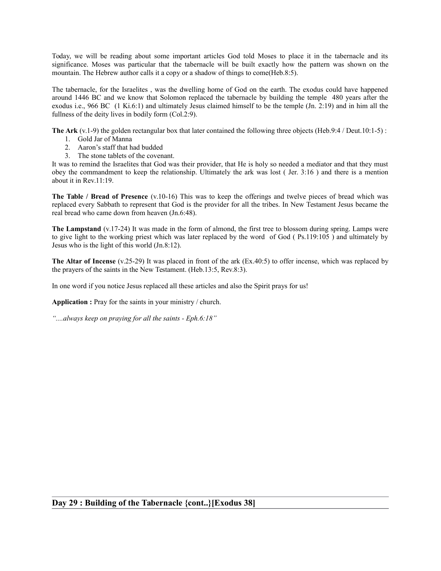Today, we will be reading about some important articles God told Moses to place it in the tabernacle and its significance. Moses was particular that the tabernacle will be built exactly how the pattern was shown on the mountain. The Hebrew author calls it a copy or a shadow of things to come(Heb.8:5).

The tabernacle, for the Israelites , was the dwelling home of God on the earth. The exodus could have happened around 1446 BC and we know that Solomon replaced the tabernacle by building the temple 480 years after the exodus i.e., 966 BC (1 Ki.6:1) and ultimately Jesus claimed himself to be the temple (Jn. 2:19) and in him all the fullness of the deity lives in bodily form (Col.2:9).

**The Ark** (v.1-9) the golden rectangular box that later contained the following three objects (Heb.9:4 / Deut.10:1-5) :

- 1. Gold Jar of Manna
- 2. Aaron's staff that had budded
- 3. The stone tablets of the covenant.

It was to remind the Israelites that God was their provider, that He is holy so needed a mediator and that they must obey the commandment to keep the relationship. Ultimately the ark was lost ( Jer. 3:16 ) and there is a mention about it in Rev.11:19.

**The Table / Bread of Presence** (v.10-16) This was to keep the offerings and twelve pieces of bread which was replaced every Sabbath to represent that God is the provider for all the tribes. In New Testament Jesus became the real bread who came down from heaven (Jn.6:48).

**The Lampstand** (v.17-24) It was made in the form of almond, the first tree to blossom during spring. Lamps were to give light to the working priest which was later replaced by the word of God ( Ps.119:105 ) and ultimately by Jesus who is the light of this world (Jn.8:12).

**The Altar of Incense** (v.25-29) It was placed in front of the ark (Ex.40:5) to offer incense, which was replaced by the prayers of the saints in the New Testament. (Heb.13:5, Rev.8:3).

In one word if you notice Jesus replaced all these articles and also the Spirit prays for us!

**Application :** Pray for the saints in your ministry / church.

*"....always keep on praying for all the saints - Eph.6:18"*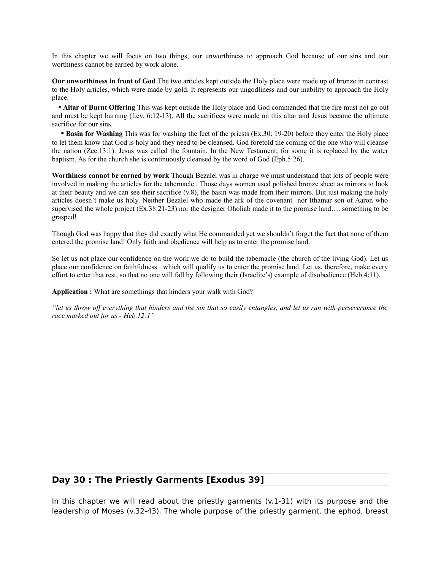In this chapter we will focus on two things, our unworthiness to approach God because of our sins and our worthiness cannot be earned by work alone.

**Our unworthiness in front of God** The two articles kept outside the Holy place were made up of bronze in contrast to the Holy articles, which were made by gold. It represents our ungodliness and our inability to approach the Holy place.

 • **Altar of Burnt Offering** This was kept outside the Holy place and God commanded that the fire must not go out and must be kept burning (Lev. 6:12-13). All the sacrifices were made on this altar and Jesus became the ultimate sacrifice for our sins.

 **• Basin for Washing** This was for washing the feet of the priests (Ex.30: 19-20) before they enter the Holy place to let them know that God is holy and they need to be cleansed. God foretold the coming of the one who will cleanse the nation (Zec.13:1). Jesus was called the fountain. In the New Testament, for some it is replaced by the water baptism. As for the church she is continuously cleansed by the word of God (Eph.5:26).

**Worthiness cannot be earned by work** Though Bezalel was in charge we must understand that lots of people were involved in making the articles for the tabernacle . Those days women used polished bronze sheet as mirrors to look at their beauty and we can see their sacrifice  $(v.8)$ , the basin was made from their mirrors. But just making the holy articles doesn't make us holy. Neither Bezalel who made the ark of the covenant nor Ithamar son of Aaron who supervised the whole project (Ex.38:21-23) nor the designer Oholiab made it to the promise land... something to be grasped!

Though God was happy that they did exactly what He commanded yet we shouldn't forget the fact that none of them entered the promise land! Only faith and obedience will help us to enter the promise land.

So let us not place our confidence on the work we do to build the tabernacle (the church of the living God). Let us place our confidence on faithfulness which will qualify us to enter the promise land. Let us, therefore, make every effort to enter that rest, so that no one will fall by following their (Israelite's) example of disobedience (Heb.4:11).

**Application :** What are somethings that hinders your walk with God?

*"let us throw off everything that hinders and the sin that so easily entangles, and let us run with perseverance the race marked out for us - Heb.12:1"*

## **Day 30 : The Priestly Garments [Exodus 39]**

In this chapter we will read about the priestly garments  $(v.1-31)$  with its purpose and the leadership of Moses (v.32-43). The whole purpose of the priestly garment, the ephod, breast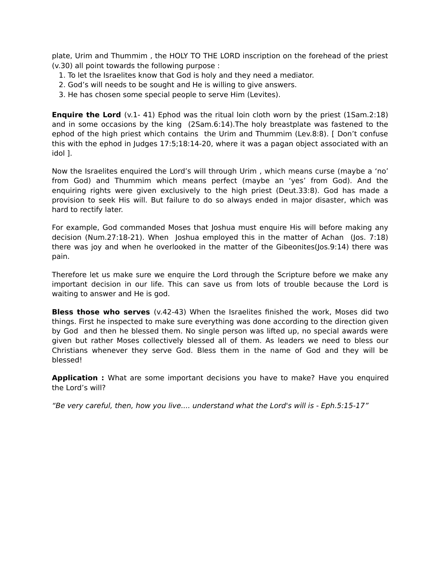plate, Urim and Thummim , the HOLY TO THE LORD inscription on the forehead of the priest (v.30) all point towards the following purpose :

- 1. To let the Israelites know that God is holy and they need a mediator.
- 2. God's will needs to be sought and He is willing to give answers.
- 3. He has chosen some special people to serve Him (Levites).

**Enquire the Lord** (v.1-41) Ephod was the ritual loin cloth worn by the priest (1Sam.2:18) and in some occasions by the king (2Sam.6:14).The holy breastplate was fastened to the ephod of the high priest which contains the Urim and Thummim (Lev.8:8). [ Don't confuse this with the ephod in Judges 17:5;18:14-20, where it was a pagan object associated with an idol ].

Now the Israelites enquired the Lord's will through Urim , which means curse (maybe a 'no' from God) and Thummim which means perfect (maybe an 'yes' from God). And the enquiring rights were given exclusively to the high priest (Deut.33:8). God has made a provision to seek His will. But failure to do so always ended in major disaster, which was hard to rectify later.

For example, God commanded Moses that Joshua must enquire His will before making any decision (Num.27:18-21). When Joshua employed this in the matter of Achan (Jos. 7:18) there was joy and when he overlooked in the matter of the Gibeonites(Jos.9:14) there was pain.

Therefore let us make sure we enquire the Lord through the Scripture before we make any important decision in our life. This can save us from lots of trouble because the Lord is waiting to answer and He is god.

**Bless those who serves** (v.42-43) When the Israelites finished the work, Moses did two things. First he inspected to make sure everything was done according to the direction given by God and then he blessed them. No single person was lifted up, no special awards were given but rather Moses collectively blessed all of them. As leaders we need to bless our Christians whenever they serve God. Bless them in the name of God and they will be blessed!

**Application :** What are some important decisions you have to make? Have you enquired the Lord's will?

"Be very careful, then, how you live.... understand what the Lord's will is - Eph.5:15-17"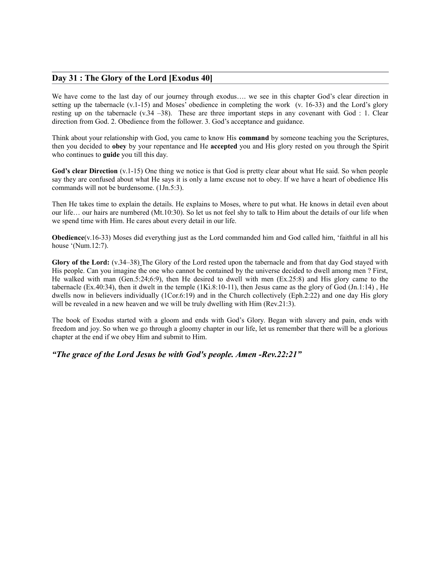#### **Day 31 : The Glory of the Lord [Exodus 40]**

We have come to the last day of our journey through exodus…. we see in this chapter God's clear direction in setting up the tabernacle (v.1-15) and Moses' obedience in completing the work (v. 16-33) and the Lord's glory resting up on the tabernacle  $(v.34 -38)$ . These are three important steps in any covenant with God : 1. Clear direction from God. 2. Obedience from the follower. 3. God's acceptance and guidance.

Think about your relationship with God, you came to know His **command** by someone teaching you the Scriptures, then you decided to **obey** by your repentance and He **accepted** you and His glory rested on you through the Spirit who continues to **guide** you till this day.

**God's clear Direction** (v.1-15) One thing we notice is that God is pretty clear about what He said. So when people say they are confused about what He says it is only a lame excuse not to obey. If we have a heart of obedience His commands will not be burdensome. (1Jn.5:3).

Then He takes time to explain the details. He explains to Moses, where to put what. He knows in detail even about our life… our hairs are numbered (Mt.10:30). So let us not feel shy to talk to Him about the details of our life when we spend time with Him. He cares about every detail in our life.

**Obedience**(v.16-33) Moses did everything just as the Lord commanded him and God called him, 'faithful in all his house '(Num.12:7).

**Glory of the Lord:** (v.34–38) The Glory of the Lord rested upon the tabernacle and from that day God stayed with His people. Can you imagine the one who cannot be contained by the universe decided to dwell among men ? First, He walked with man (Gen.5:24;6:9), then He desired to dwell with men (Ex.25:8) and His glory came to the tabernacle (Ex.40:34), then it dwelt in the temple (1Ki.8:10-11), then Jesus came as the glory of God (Jn.1:14), He dwells now in believers individually (1Cor.6:19) and in the Church collectively (Eph.2:22) and one day His glory will be revealed in a new heaven and we will be truly dwelling with Him (Rev.21:3).

The book of Exodus started with a gloom and ends with God's Glory. Began with slavery and pain, ends with freedom and joy. So when we go through a gloomy chapter in our life, let us remember that there will be a glorious chapter at the end if we obey Him and submit to Him.

*"The grace of the Lord Jesus be with God's people. Amen -Rev.22:21"*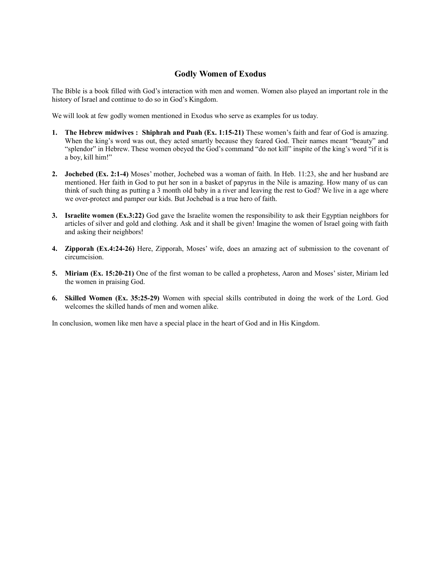## **Godly Women of Exodus**

The Bible is a book filled with God's interaction with men and women. Women also played an important role in the history of Israel and continue to do so in God's Kingdom.

We will look at few godly women mentioned in Exodus who serve as examples for us today.

- **1. The Hebrew midwives : Shiphrah and Puah (Ex. 1:15-21)** These women's faith and fear of God is amazing. When the king's word was out, they acted smartly because they feared God. Their names meant "beauty" and "splendor" in Hebrew. These women obeyed the God's command "do not kill" inspite of the king's word "if it is a boy, kill him!"
- **2. Jochebed (Ex. 2:1-4)** Moses' mother, Jochebed was a woman of faith. In Heb. 11:23, she and her husband are mentioned. Her faith in God to put her son in a basket of papyrus in the Nile is amazing. How many of us can think of such thing as putting a 3 month old baby in a river and leaving the rest to God? We live in a age where we over-protect and pamper our kids. But Jochebad is a true hero of faith.
- **3. Israelite women (Ex.3:22)** God gave the Israelite women the responsibility to ask their Egyptian neighbors for articles of silver and gold and clothing. Ask and it shall be given! Imagine the women of Israel going with faith and asking their neighbors!
- **4. Zipporah (Ex.4:24-26)** Here, Zipporah, Moses' wife, does an amazing act of submission to the covenant of circumcision.
- **5. Miriam (Ex. 15:20-21)** One of the first woman to be called a prophetess, Aaron and Moses' sister, Miriam led the women in praising God.
- **6. Skilled Women (Ex. 35:25-29)** Women with special skills contributed in doing the work of the Lord. God welcomes the skilled hands of men and women alike.

In conclusion, women like men have a special place in the heart of God and in His Kingdom.